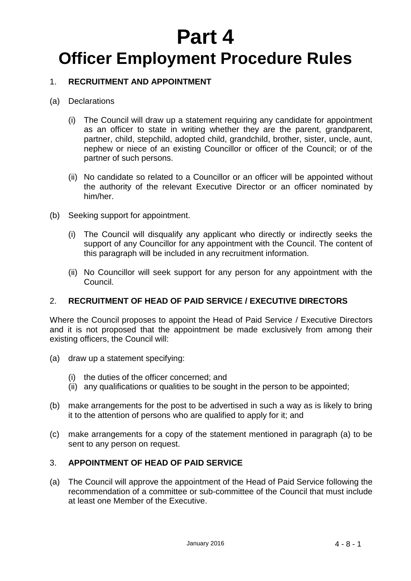# **Part 4 Officer Employment Procedure Rules**

## 1. **RECRUITMENT AND APPOINTMENT**

#### (a) Declarations

- (i) The Council will draw up a statement requiring any candidate for appointment as an officer to state in writing whether they are the parent, grandparent, partner, child, stepchild, adopted child, grandchild, brother, sister, uncle, aunt, nephew or niece of an existing Councillor or officer of the Council; or of the partner of such persons.
- (ii) No candidate so related to a Councillor or an officer will be appointed without the authority of the relevant Executive Director or an officer nominated by him/her.
- (b) Seeking support for appointment.
	- (i) The Council will disqualify any applicant who directly or indirectly seeks the support of any Councillor for any appointment with the Council. The content of this paragraph will be included in any recruitment information.
	- (ii) No Councillor will seek support for any person for any appointment with the Council.

## 2. **RECRUITMENT OF HEAD OF PAID SERVICE / EXECUTIVE DIRECTORS**

Where the Council proposes to appoint the Head of Paid Service / Executive Directors and it is not proposed that the appointment be made exclusively from among their existing officers, the Council will:

- (a) draw up a statement specifying:
	- (i) the duties of the officer concerned; and
	- (ii) any qualifications or qualities to be sought in the person to be appointed;
- (b) make arrangements for the post to be advertised in such a way as is likely to bring it to the attention of persons who are qualified to apply for it; and
- (c) make arrangements for a copy of the statement mentioned in paragraph (a) to be sent to any person on request.

## 3. **APPOINTMENT OF HEAD OF PAID SERVICE**

(a) The Council will approve the appointment of the Head of Paid Service following the recommendation of a committee or sub-committee of the Council that must include at least one Member of the Executive.